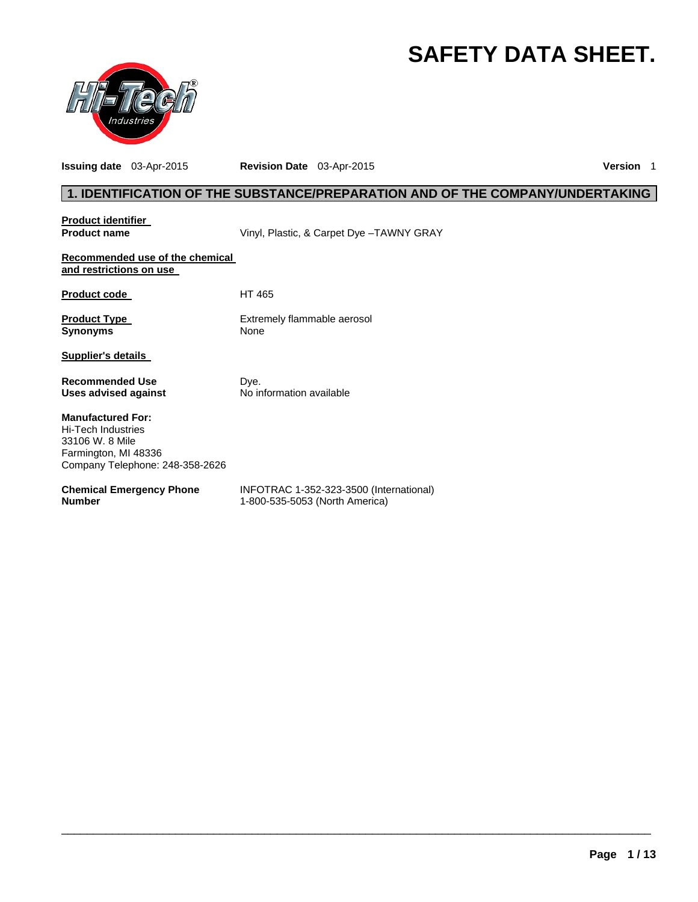# **SAFETY DATA SHEET.**



**Issuing date** 03-Apr-2015 **Revision Date** 03-Apr-2015 **Version** 1

# **1. IDENTIFICATION OF THE SUBSTANCE/PREPARATION AND OF THE COMPANY/UNDERTAKING**

| <b>Product identifier</b><br><b>Product name</b>                                                                                    | Vinyl, Plastic, & Carpet Dye -TAWNY GRAY                                  |
|-------------------------------------------------------------------------------------------------------------------------------------|---------------------------------------------------------------------------|
| Recommended use of the chemical<br>and restrictions on use                                                                          |                                                                           |
| <b>Product code</b>                                                                                                                 | HT 465                                                                    |
| <b>Product Type</b><br><b>Synonyms</b>                                                                                              | Extremely flammable aerosol<br>None                                       |
| <b>Supplier's details</b>                                                                                                           |                                                                           |
| <b>Recommended Use</b><br>Uses advised against                                                                                      | Dye.<br>No information available                                          |
| <b>Manufactured For:</b><br><b>Hi-Tech Industries</b><br>33106 W. 8 Mile<br>Farmington, MI 48336<br>Company Telephone: 248-358-2626 |                                                                           |
| <b>Chemical Emergency Phone</b><br><b>Number</b>                                                                                    | INFOTRAC 1-352-323-3500 (International)<br>1-800-535-5053 (North America) |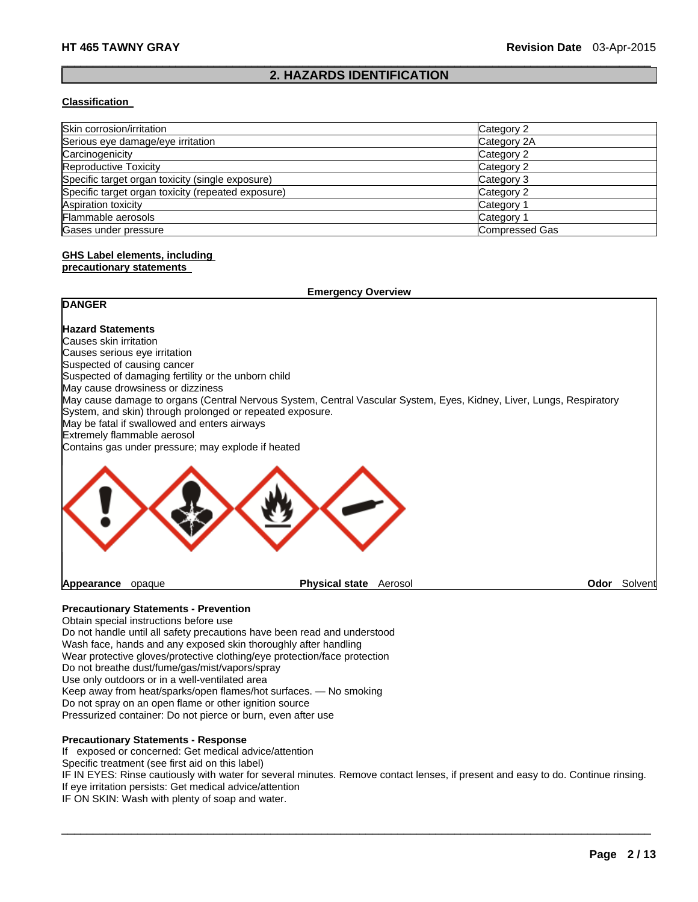#### $\Box$ **2. HAZARDS IDENTIFICATION**

#### **Classification**

| Skin corrosion/irritation                          | Category 2     |
|----------------------------------------------------|----------------|
| Serious eye damage/eye irritation                  | Category 2A    |
| Carcinogenicity                                    | Category 2     |
| <b>Reproductive Toxicity</b>                       | Category 2     |
| Specific target organ toxicity (single exposure)   | Category 3     |
| Specific target organ toxicity (repeated exposure) | Category 2     |
| Aspiration toxicity                                | Category 1     |
| Flammable aerosols                                 | Category 1     |
| Gases under pressure                               | Compressed Gas |

# **GHS Label elements, including**

#### **precautionary statements**

| <b>Emergency Overview</b>                                 |                                                                                                                      |      |         |
|-----------------------------------------------------------|----------------------------------------------------------------------------------------------------------------------|------|---------|
| <b>DANGER</b>                                             |                                                                                                                      |      |         |
| <b>Hazard Statements</b>                                  |                                                                                                                      |      |         |
| Causes skin irritation                                    |                                                                                                                      |      |         |
| Causes serious eye irritation                             |                                                                                                                      |      |         |
| Suspected of causing cancer                               |                                                                                                                      |      |         |
| Suspected of damaging fertility or the unborn child       |                                                                                                                      |      |         |
| May cause drowsiness or dizziness                         |                                                                                                                      |      |         |
| System, and skin) through prolonged or repeated exposure. | May cause damage to organs (Central Nervous System, Central Vascular System, Eyes, Kidney, Liver, Lungs, Respiratory |      |         |
| May be fatal if swallowed and enters airways              |                                                                                                                      |      |         |
| Extremely flammable aerosol                               |                                                                                                                      |      |         |
| Contains gas under pressure; may explode if heated        |                                                                                                                      |      |         |
|                                                           |                                                                                                                      |      |         |
| Appearance<br>opaque                                      | <b>Physical state</b><br>Aerosol                                                                                     | Odor | Solvent |

### **Precautionary Statements - Prevention**

Obtain special instructions before use Do not handle until all safety precautions have been read and understood Wash face, hands and any exposed skin thoroughly after handling Wear protective gloves/protective clothing/eye protection/face protection Do not breathe dust/fume/gas/mist/vapors/spray Use only outdoors or in a well-ventilated area Keep away from heat/sparks/open flames/hot surfaces. — No smoking Do not spray on an open flame or other ignition source Pressurized container: Do not pierce or burn, even after use

# **Precautionary Statements - Response**

If exposed or concerned: Get medical advice/attention

Specific treatment (see first aid on this label)

IF IN EYES: Rinse cautiously with water for several minutes. Remove contact lenses, if present and easy to do. Continue rinsing. If eye irritation persists: Get medical advice/attention

 $\Box$ 

IF ON SKIN: Wash with plenty of soap and water.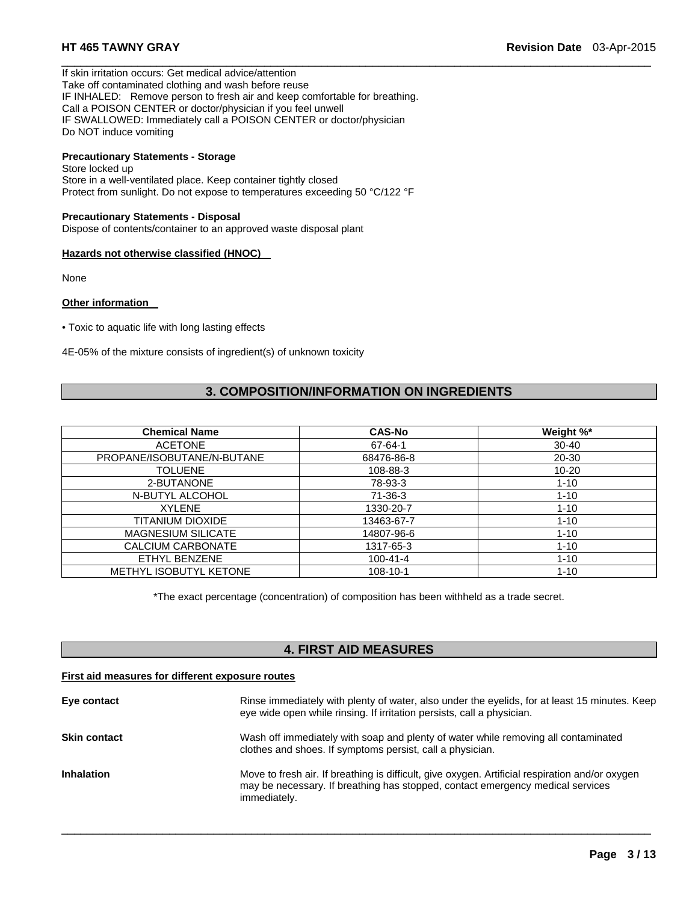If skin irritation occurs: Get medical advice/attention Take off contaminated clothing and wash before reuse IF INHALED: Remove person to fresh air and keep comfortable for breathing. Call a POISON CENTER or doctor/physician if you feel unwell IF SWALLOWED: Immediately call a POISON CENTER or doctor/physician Do NOT induce vomiting

# **Precautionary Statements - Storage**

Store locked up Store in a well-ventilated place. Keep container tightly closed Protect from sunlight. Do not expose to temperatures exceeding 50 °C/122 °F

#### **Precautionary Statements - Disposal**

Dispose of contents/container to an approved waste disposal plant

#### **Hazards not otherwise classified (HNOC)**

None

#### **Other information**

• Toxic to aquatic life with long lasting effects

4E-05% of the mixture consists of ingredient(s) of unknown toxicity

# **3. COMPOSITION/INFORMATION ON INGREDIENTS**

 $\Box$ 

| <b>Chemical Name</b>       | <b>CAS-No</b>  | Weight %* |
|----------------------------|----------------|-----------|
| <b>ACETONE</b>             | 67-64-1        | $30 - 40$ |
| PROPANE/ISOBUTANE/N-BUTANE | 68476-86-8     | 20-30     |
| <b>TOLUENE</b>             | 108-88-3       | $10 - 20$ |
| 2-BUTANONE                 | 78-93-3        | $1 - 10$  |
| N-BUTYL ALCOHOL            | $71-36-3$      | $1 - 10$  |
| <b>XYLENE</b>              | 1330-20-7      | $1 - 10$  |
| TITANIUM DIOXIDE           | 13463-67-7     | $1 - 10$  |
| <b>MAGNESIUM SILICATE</b>  | 14807-96-6     | $1 - 10$  |
| CALCIUM CARBONATE          | 1317-65-3      | $1 - 10$  |
| ETHYL BENZENE              | $100 - 41 - 4$ | $1 - 10$  |
| METHYL ISOBUTYL KETONE     | $108 - 10 - 1$ | $1 - 10$  |

\*The exact percentage (concentration) of composition has been withheld as a trade secret.

# **4. FIRST AID MEASURES**

#### **First aid measures for different exposure routes**

| Eye contact         | Rinse immediately with plenty of water, also under the eyelids, for at least 15 minutes. Keep<br>eye wide open while rinsing. If irritation persists, call a physician.                           |
|---------------------|---------------------------------------------------------------------------------------------------------------------------------------------------------------------------------------------------|
| <b>Skin contact</b> | Wash off immediately with soap and plenty of water while removing all contaminated<br>clothes and shoes. If symptoms persist, call a physician.                                                   |
| <b>Inhalation</b>   | Move to fresh air. If breathing is difficult, give oxygen. Artificial respiration and/or oxygen<br>may be necessary. If breathing has stopped, contact emergency medical services<br>immediately. |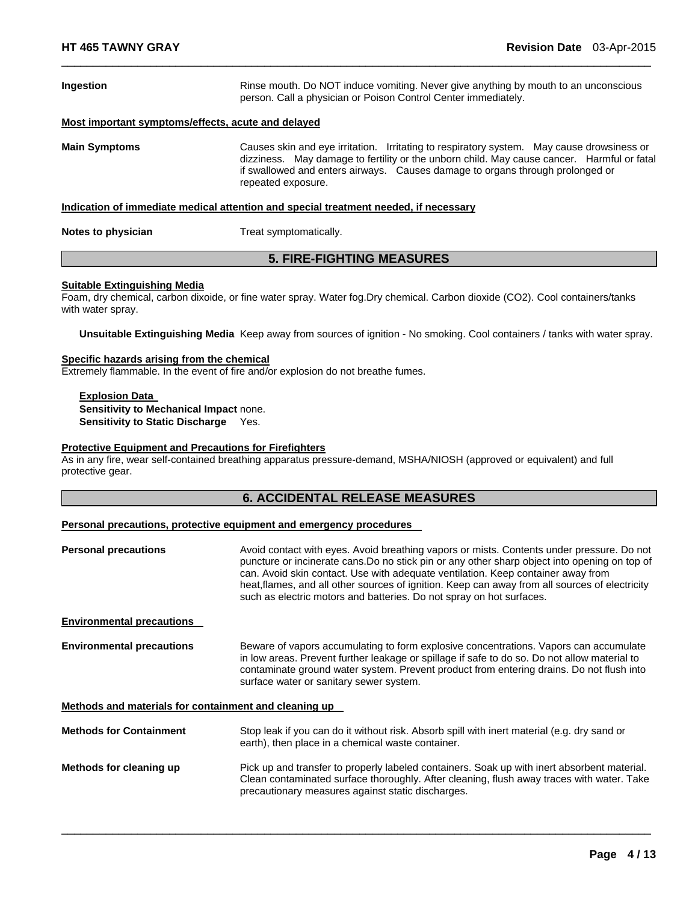| Ingestion                                          | Rinse mouth. Do NOT induce vomiting. Never give anything by mouth to an unconscious<br>person. Call a physician or Poison Control Center immediately.                                                                                                                                          |  |
|----------------------------------------------------|------------------------------------------------------------------------------------------------------------------------------------------------------------------------------------------------------------------------------------------------------------------------------------------------|--|
| Most important symptoms/effects, acute and delayed |                                                                                                                                                                                                                                                                                                |  |
| <b>Main Symptoms</b>                               | Causes skin and eye irritation. Irritating to respiratory system. May cause drowsiness or<br>dizziness. May damage to fertility or the unborn child. May cause cancer. Harmful or fatal<br>if swallowed and enters airways. Causes damage to organs through prolonged or<br>repeated exposure. |  |
|                                                    | Indication of immediate medical attention and special treatment needed, if necessary                                                                                                                                                                                                           |  |
| Notes to physician                                 | Treat symptomatically.                                                                                                                                                                                                                                                                         |  |

 $\Box$ 

# **5. FIRE-FIGHTING MEASURES**

#### **Suitable Extinguishing Media**

Foam, dry chemical, carbon dixoide, or fine water spray. Water fog.Dry chemical. Carbon dioxide (CO2). Cool containers/tanks with water spray.

**Unsuitable Extinguishing Media** Keep away from sources of ignition - No smoking. Cool containers / tanks with water spray.

#### **Specific hazards arising from the chemical**

Extremely flammable. In the event of fire and/or explosion do not breathe fumes.

**Explosion Data Sensitivity to Mechanical Impact** none. **Sensitivity to Static Discharge** Yes.

#### **Protective Equipment and Precautions for Firefighters**

As in any fire, wear self-contained breathing apparatus pressure-demand, MSHA/NIOSH (approved or equivalent) and full protective gear.

# **6. ACCIDENTAL RELEASE MEASURES**

#### **Personal precautions, protective equipment and emergency procedures**

| <b>Personal precautions</b>                           | Avoid contact with eyes. Avoid breathing vapors or mists. Contents under pressure. Do not<br>puncture or incinerate cans. Do no stick pin or any other sharp object into opening on top of<br>can. Avoid skin contact. Use with adequate ventilation. Keep container away from<br>heat, flames, and all other sources of ignition. Keep can away from all sources of electricity<br>such as electric motors and batteries. Do not spray on hot surfaces. |  |
|-------------------------------------------------------|----------------------------------------------------------------------------------------------------------------------------------------------------------------------------------------------------------------------------------------------------------------------------------------------------------------------------------------------------------------------------------------------------------------------------------------------------------|--|
| <b>Environmental precautions</b>                      |                                                                                                                                                                                                                                                                                                                                                                                                                                                          |  |
| <b>Environmental precautions</b>                      | Beware of vapors accumulating to form explosive concentrations. Vapors can accumulate<br>in low areas. Prevent further leakage or spillage if safe to do so. Do not allow material to<br>contaminate ground water system. Prevent product from entering drains. Do not flush into<br>surface water or sanitary sewer system.                                                                                                                             |  |
| Methods and materials for containment and cleaning up |                                                                                                                                                                                                                                                                                                                                                                                                                                                          |  |
| <b>Methods for Containment</b>                        | Stop leak if you can do it without risk. Absorb spill with inert material (e.g. dry sand or<br>earth), then place in a chemical waste container.                                                                                                                                                                                                                                                                                                         |  |
| Methods for cleaning up                               | Pick up and transfer to properly labeled containers. Soak up with inert absorbent material.<br>Clean contaminated surface thoroughly. After cleaning, flush away traces with water. Take<br>precautionary measures against static discharges.                                                                                                                                                                                                            |  |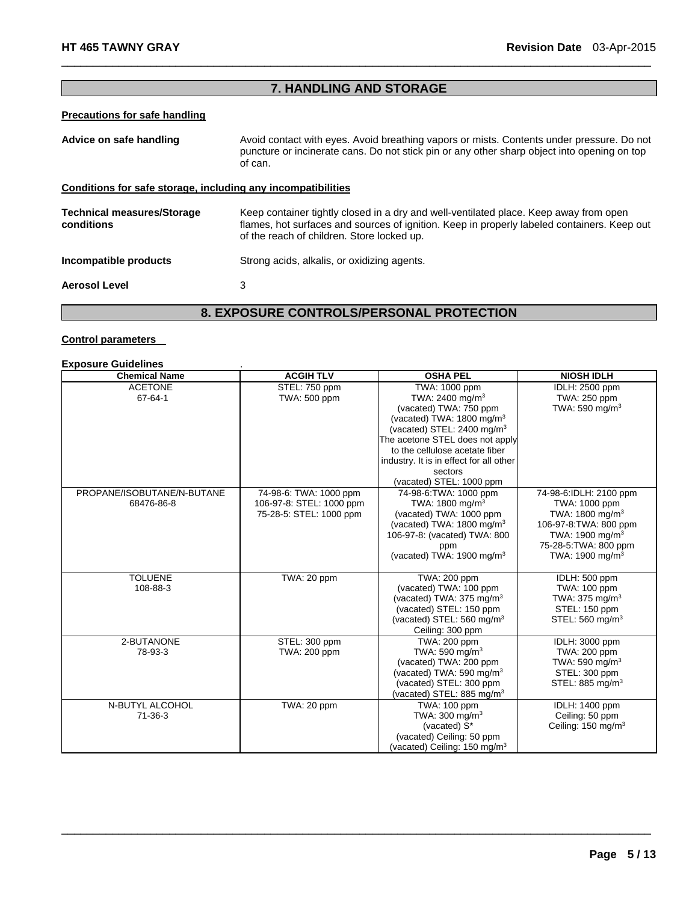# **7. HANDLING AND STORAGE AND STORAGE AND STORAGE AND STORAGE**

 $\Box$ 

# **Precautions for safe handling**

| Advice on safe handling                                      | Avoid contact with eyes. Avoid breathing vapors or mists. Contents under pressure. Do not<br>puncture or incinerate cans. Do not stick pin or any other sharp object into opening on top<br>of can.                                |
|--------------------------------------------------------------|------------------------------------------------------------------------------------------------------------------------------------------------------------------------------------------------------------------------------------|
| Conditions for safe storage, including any incompatibilities |                                                                                                                                                                                                                                    |
| <b>Technical measures/Storage</b><br>conditions              | Keep container tightly closed in a dry and well-ventilated place. Keep away from open<br>flames, hot surfaces and sources of ignition. Keep in properly labeled containers. Keep out<br>of the reach of children. Store locked up. |
| Incompatible products                                        | Strong acids, alkalis, or oxidizing agents.                                                                                                                                                                                        |
| <b>Aerosol Level</b>                                         | 3                                                                                                                                                                                                                                  |

# **8. EXPOSURE CONTROLS/PERSONAL PROTECTION 8. EXPOSURE CONTROLS/PERSONAL PROTECTION**

#### **Control parameters**

| <b>Exposure Guidelines</b>               |                                                                               |                                                                                                                                                                                                                                                                                                                 |                                                                                                                                                                                        |
|------------------------------------------|-------------------------------------------------------------------------------|-----------------------------------------------------------------------------------------------------------------------------------------------------------------------------------------------------------------------------------------------------------------------------------------------------------------|----------------------------------------------------------------------------------------------------------------------------------------------------------------------------------------|
| <b>Chemical Name</b>                     | <b>ACGIH TLV</b>                                                              | <b>OSHA PEL</b>                                                                                                                                                                                                                                                                                                 | <b>NIOSH IDLH</b>                                                                                                                                                                      |
| <b>ACETONE</b><br>67-64-1                | STEL: 750 ppm<br>TWA: 500 ppm                                                 | TWA: 1000 ppm<br>TWA: 2400 mg/m <sup>3</sup><br>(vacated) TWA: 750 ppm<br>(vacated) TWA: $1800 \text{ mg/m}^3$<br>(vacated) STEL: 2400 mg/m <sup>3</sup><br>The acetone STEL does not apply<br>to the cellulose acetate fiber<br>industry. It is in effect for all other<br>sectors<br>(vacated) STEL: 1000 ppm | <b>IDLH: 2500 ppm</b><br>TWA: 250 ppm<br>TWA: 590 mg/m $3$                                                                                                                             |
| PROPANE/ISOBUTANE/N-BUTANE<br>68476-86-8 | 74-98-6: TWA: 1000 ppm<br>106-97-8: STEL: 1000 ppm<br>75-28-5: STEL: 1000 ppm | 74-98-6: TWA: 1000 ppm<br>TWA: 1800 mg/m <sup>3</sup><br>(vacated) TWA: 1000 ppm<br>(vacated) TWA: $1800 \text{ mg/m}^3$<br>106-97-8: (vacated) TWA: 800<br>ppm<br>(vacated) TWA: 1900 mg/m <sup>3</sup>                                                                                                        | 74-98-6:IDLH: 2100 ppm<br>TWA: 1000 ppm<br>TWA: $1800 \text{ mg/m}^3$<br>106-97-8: TWA: 800 ppm<br>TWA: 1900 mg/m <sup>3</sup><br>75-28-5: TWA: 800 ppm<br>TWA: 1900 mg/m <sup>3</sup> |
| <b>TOLUENE</b><br>108-88-3               | TWA: 20 ppm                                                                   | TWA: 200 ppm<br>(vacated) TWA: 100 ppm<br>(vacated) TWA: $375 \text{ mg/m}^3$<br>(vacated) STEL: 150 ppm<br>(vacated) STEL: $560 \text{ mg/m}^3$<br>Ceiling: 300 ppm                                                                                                                                            | IDLH: 500 ppm<br>TWA: 100 ppm<br>TWA: $375$ mg/m <sup>3</sup><br>STEL: 150 ppm<br>STEL: 560 mg/m <sup>3</sup>                                                                          |
| 2-BUTANONE<br>78-93-3                    | STEL: 300 ppm<br>TWA: 200 ppm                                                 | <b>TWA: 200 ppm</b><br>TWA: 590 mg/m $3$<br>(vacated) TWA: 200 ppm<br>(vacated) TWA: 590 mg/m $3$<br>(vacated) STEL: 300 ppm<br>(vacated) STEL: 885 mg/m <sup>3</sup>                                                                                                                                           | IDLH: 3000 ppm<br>TWA: 200 ppm<br>TWA: 590 mg/m $3$<br>STEL: 300 ppm<br>STEL: 885 mg/m <sup>3</sup>                                                                                    |
| N-BUTYL ALCOHOL<br>$71 - 36 - 3$         | TWA: 20 ppm                                                                   | TWA: 100 ppm<br>TWA: 300 mg/m <sup>3</sup><br>(vacated) S*<br>(vacated) Ceiling: 50 ppm<br>(vacated) Ceiling: 150 mg/m <sup>3</sup>                                                                                                                                                                             | IDLH: 1400 ppm<br>Ceiling: 50 ppm<br>Ceiling: $150 \text{ mg/m}^3$                                                                                                                     |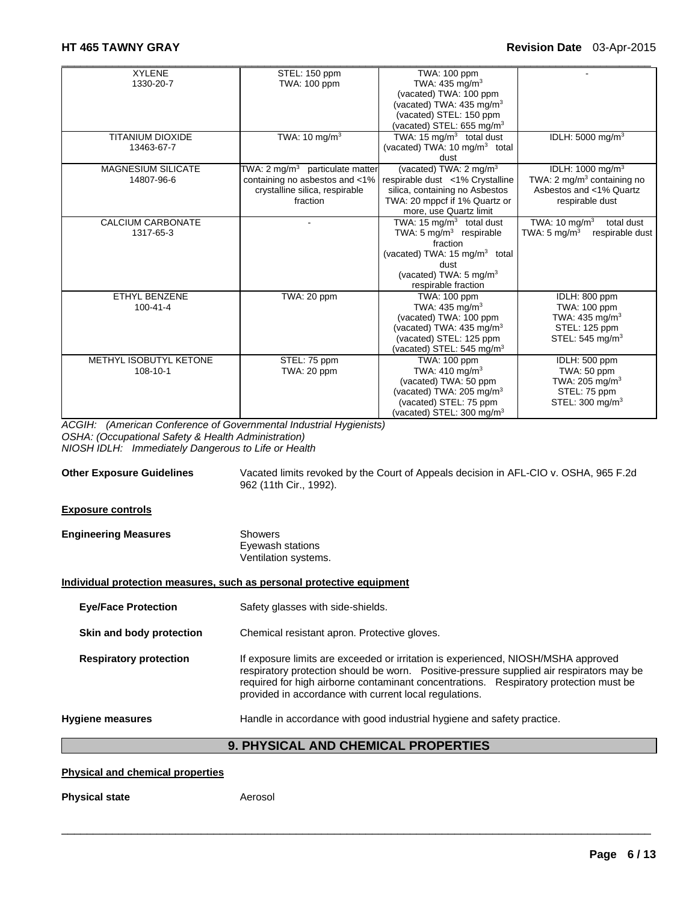| <b>XYLENE</b>             | STEL: 150 ppm                      | TWA: 100 ppm                              |                                            |
|---------------------------|------------------------------------|-------------------------------------------|--------------------------------------------|
| 1330-20-7                 | TWA: 100 ppm                       | TWA: $435 \text{ mg/m}^3$                 |                                            |
|                           |                                    | (vacated) TWA: 100 ppm                    |                                            |
|                           |                                    | (vacated) TWA: 435 mg/m <sup>3</sup>      |                                            |
|                           |                                    | (vacated) STEL: 150 ppm                   |                                            |
|                           |                                    | (vacated) STEL: 655 mg/m $3$              |                                            |
| <b>TITANIUM DIOXIDE</b>   | TWA: 10 mg/m <sup>3</sup>          | TWA: 15 $mg/m3$ total dust                | IDLH: 5000 mg/m <sup>3</sup>               |
| 13463-67-7                |                                    | (vacated) TWA: 10 mg/m <sup>3</sup> total |                                            |
|                           |                                    | dust                                      |                                            |
| <b>MAGNESIUM SILICATE</b> | TWA: 2 mg/m $3$ particulate matter | (vacated) TWA: 2 mg/m <sup>3</sup>        | IDLH: $1000 \text{ mg/m}^3$                |
| 14807-96-6                | containing no asbestos and <1%     | respirable dust <1% Crystalline           | TWA: 2 mg/m <sup>3</sup> containing no     |
|                           | crystalline silica, respirable     | silica, containing no Asbestos            | Asbestos and <1% Quartz                    |
|                           | fraction                           | TWA: 20 mppcf if 1% Quartz or             | respirable dust                            |
|                           |                                    | more, use Quartz limit                    |                                            |
| CALCIUM CARBONATE         |                                    | TWA: 15 $mq/m3$ total dust                | TWA: $10 \text{ mg/m}^3$<br>total dust     |
| 1317-65-3                 |                                    | TWA: $5 \text{ mg/m}^3$ respirable        | TWA: $5 \text{ mg/m}^3$<br>respirable dust |
|                           |                                    | fraction                                  |                                            |
|                           |                                    | (vacated) TWA: $15 \text{ mg/m}^3$ total  |                                            |
|                           |                                    | dust                                      |                                            |
|                           |                                    | (vacated) TWA: 5 mg/m <sup>3</sup>        |                                            |
|                           |                                    | respirable fraction                       |                                            |
| <b>ETHYL BENZENE</b>      | TWA: 20 ppm                        | TWA: 100 ppm                              | IDLH: 800 ppm                              |
| $100 - 41 - 4$            |                                    | TWA: $435 \text{ mg/m}^3$                 | TWA: 100 ppm                               |
|                           |                                    | (vacated) TWA: 100 ppm                    | TWA: 435 mg/m <sup>3</sup>                 |
|                           |                                    | (vacated) TWA: 435 mg/m <sup>3</sup>      | STEL: 125 ppm                              |
|                           |                                    | (vacated) STEL: 125 ppm                   | STEL: $545 \text{ mg/m}^3$                 |
|                           |                                    | (vacated) STEL: 545 mg/m <sup>3</sup>     |                                            |
| METHYL ISOBUTYL KETONE    | STEL: 75 ppm                       | TWA: 100 ppm                              | IDLH: 500 ppm                              |
| 108-10-1                  | TWA: 20 ppm                        | TWA: 410 mg/m <sup>3</sup>                | TWA: 50 ppm                                |
|                           |                                    | (vacated) TWA: 50 ppm                     | TWA: 205 mg/m <sup>3</sup>                 |
|                           |                                    | (vacated) TWA: $205 \text{ mg/m}^3$       | STEL: 75 ppm                               |
|                           |                                    | (vacated) STEL: 75 ppm                    | STEL: 300 mg/m <sup>3</sup>                |
|                           |                                    | (vacated) STEL: 300 mg/m <sup>3</sup>     |                                            |

*ACGIH: (American Conference of Governmental Industrial Hygienists) OSHA: (Occupational Safety & Health Administration) NIOSH IDLH: Immediately Dangerous to Life or Health* 

**Other Exposure Guidelines** Vacated limits revoked by the Court of Appeals decision in AFL-CIO v. OSHA, 965 F.2d 962 (11th Cir., 1992).

#### **Exposure controls**

| <b>Engineering Measures</b> | Showers              |  |
|-----------------------------|----------------------|--|
|                             | Eyewash stations     |  |
|                             | Ventilation systems. |  |

#### **Individual protection measures, such as personal protective equipment**

**Eye/Face Protection** Safety glasses with side-shields.

**Skin and body protection Chemical resistant apron. Protective gloves.** 

**Respiratory protection** If exposure limits are exceeded or irritation is experienced, NIOSH/MSHA approved respiratory protection should be worn. Positive-pressure supplied air respirators may be required for high airborne contaminant concentrations. Respiratory protection must be provided in accordance with current local regulations.

**Hygiene measures** Handle in accordance with good industrial hygiene and safety practice.

### **9. PHYSICAL AND CHEMICAL PROPERTIES**

 $\Box$ 

#### **Physical and chemical properties**

**Physical state Aerosol**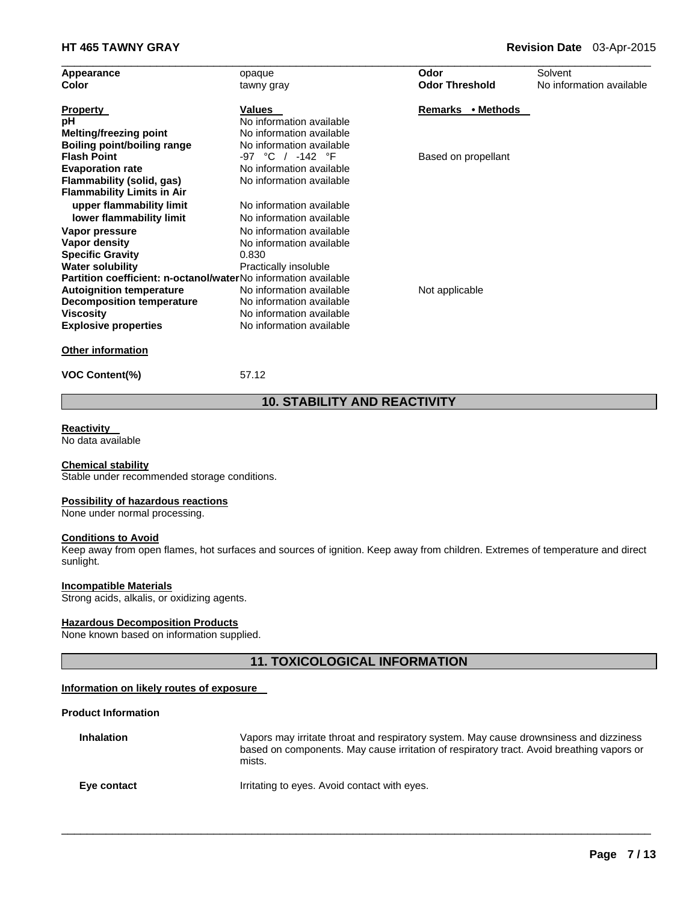| Appearance                                                            | opaque                   | Odor                  | Solvent                  |
|-----------------------------------------------------------------------|--------------------------|-----------------------|--------------------------|
| Color                                                                 | tawny gray               | <b>Odor Threshold</b> | No information available |
| <b>Property</b>                                                       | <b>Values</b>            | Remarks • Methods     |                          |
| рH                                                                    | No information available |                       |                          |
| Melting/freezing point                                                | No information available |                       |                          |
| <b>Boiling point/boiling range</b>                                    | No information available |                       |                          |
| <b>Flash Point</b>                                                    | -97 °C / -142 °F         | Based on propellant   |                          |
| <b>Evaporation rate</b>                                               | No information available |                       |                          |
| Flammability (solid, gas)                                             | No information available |                       |                          |
| <b>Flammability Limits in Air</b>                                     |                          |                       |                          |
| upper flammability limit                                              | No information available |                       |                          |
| lower flammability limit                                              | No information available |                       |                          |
| Vapor pressure                                                        | No information available |                       |                          |
| Vapor density                                                         | No information available |                       |                          |
| <b>Specific Gravity</b>                                               | 0.830                    |                       |                          |
| <b>Water solubility</b>                                               | Practically insoluble    |                       |                          |
| <b>Partition coefficient: n-octanol/waterNo information available</b> |                          |                       |                          |
| <b>Autoignition temperature</b>                                       | No information available | Not applicable        |                          |
| <b>Decomposition temperature</b>                                      | No information available |                       |                          |
| <b>Viscosity</b>                                                      | No information available |                       |                          |
| <b>Explosive properties</b>                                           | No information available |                       |                          |
| <b>Other information</b>                                              |                          |                       |                          |

**VOC Content(%)** 57.12

# **10. STABILITY AND REACTIVITY**

#### **Reactivity**

No data available

#### **Chemical stability**

Stable under recommended storage conditions.

#### **Possibility of hazardous reactions**

None under normal processing.

# **Conditions to Avoid**

Keep away from open flames, hot surfaces and sources of ignition. Keep away from children. Extremes of temperature and direct sunlight.

#### **Incompatible Materials**

Strong acids, alkalis, or oxidizing agents.

#### **Hazardous Decomposition Products**

None known based on information supplied.

### **11. TOXICOLOGICAL INFORMATION**

#### **Information on likely routes of exposure**

#### **Product Information**

| <b>Inhalation</b> | Vapors may irritate throat and respiratory system. May cause drownsiness and dizziness<br>based on components. May cause irritation of respiratory tract. Avoid breathing vapors or<br>mists. |
|-------------------|-----------------------------------------------------------------------------------------------------------------------------------------------------------------------------------------------|
| Eye contact       | Irritating to eyes. Avoid contact with eyes.                                                                                                                                                  |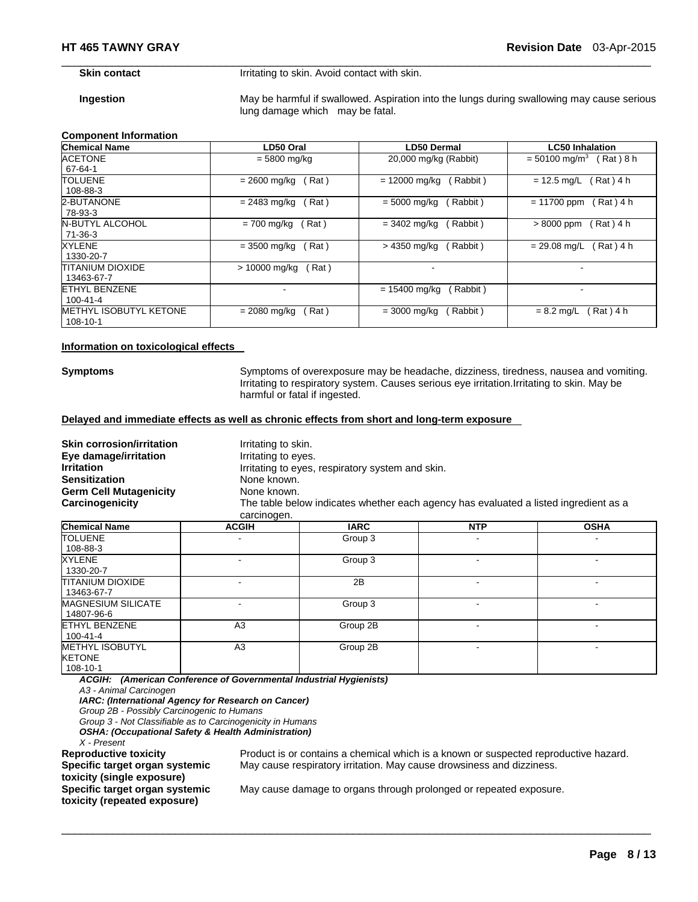**Skin contact I**rritating to skin. Avoid contact with skin.

**Ingestion May be harmful if swallowed. Aspiration into the lungs during swallowing may cause serious** lung damage which may be fatal.

 $\Box$ 

#### **Component Information**

| <b>Chemical Name</b>          | LD50 Oral               | LD50 Dermal                        | <b>LC50 Inhalation</b>                  |
|-------------------------------|-------------------------|------------------------------------|-----------------------------------------|
| <b>ACETONE</b>                | $= 5800$ mg/kg          | 20,000 mg/kg (Rabbit)              | $= 50100$ mg/m <sup>3</sup><br>Rat) 8 h |
| 67-64-1                       |                         |                                    |                                         |
| <b>TOLUENE</b>                | Rat)<br>= 2600 mg/kg    | $= 12000$ mg/kg<br>Rabbit)         | (Rat) 4 h<br>$= 12.5$ mg/L              |
| 108-88-3                      |                         |                                    |                                         |
| 2-BUTANONE                    | (Rat)<br>= 2483 mg/kg   | (Rabbit)<br>$= 5000 \text{ mg/kg}$ | $= 11700$ ppm<br>Rat ) 4 h              |
| 78-93-3                       |                         |                                    |                                         |
| <b>N-BUTYL ALCOHOL</b>        | Rat)<br>= 700 mg/kg     | (Rabbit)<br>$= 3402$ mg/kg         | (Rat) 4 h<br>$>8000$ ppm                |
| $71-36-3$                     |                         |                                    |                                         |
| XYLENE                        | Rat)<br>$= 3500$ mg/kg  | (Rabbit)<br>> 4350 mg/kg           | Rat) 4 h<br>$= 29.08$ mg/L              |
| 1330-20-7                     |                         |                                    |                                         |
| <b>TITANIUM DIOXIDE</b>       | > 10000 mg/kg<br>Rat)   |                                    |                                         |
| 13463-67-7                    |                         |                                    |                                         |
| ETHYL BENZENE                 |                         | $= 15400$ mg/kg<br>Rabbit)         | $\overline{\phantom{0}}$                |
| $100 - 41 - 4$                |                         |                                    |                                         |
| <b>METHYL ISOBUTYL KETONE</b> | (Rat)<br>$= 2080$ mg/kg | (Rabbit)<br>$= 3000 \text{ mg/kg}$ | Rat ) 4 h<br>$= 8.2$ mg/L               |
| 108-10-1                      |                         |                                    |                                         |

#### **Information on toxicological effects**

**Symptoms** Symptoms of overexposure may be headache, dizziness, tiredness, nausea and vomiting. Irritating to respiratory system. Causes serious eye irritation.Irritating to skin. May be harmful or fatal if ingested.

#### **Delayed and immediate effects as well as chronic effects from short and long-term exposure**

| <b>Skin corrosion/irritation</b><br>Eye damage/irritation | Irritating to skin.<br>Irritating to eyes.                                                          |
|-----------------------------------------------------------|-----------------------------------------------------------------------------------------------------|
| <b>Irritation</b>                                         | Irritating to eyes, respiratory system and skin.                                                    |
| <b>Sensitization</b>                                      | None known.                                                                                         |
| <b>Germ Cell Mutagenicity</b>                             | None known.                                                                                         |
| Carcinogenicity                                           | The table below indicates whether each agency has evaluated a listed ingredient as a<br>carcinogen. |

| <b>Chemical Name</b>                                | <b>ACGIH</b>   | <b>IARC</b> | <b>NTP</b> | <b>OSHA</b> |
|-----------------------------------------------------|----------------|-------------|------------|-------------|
| <b>TOLUENE</b><br>108-88-3                          | ۰              | Group 3     |            |             |
| <b>XYLENE</b><br>1330-20-7                          | -              | Group 3     |            |             |
| <b>TITANIUM DIOXIDE</b><br>13463-67-7               |                | 2B          |            |             |
| <b>MAGNESIUM SILICATE</b><br>14807-96-6             | ٠              | Group 3     | ۰          |             |
| <b>ETHYL BENZENE</b><br>100-41-4                    | A <sub>3</sub> | Group 2B    |            |             |
| <b>METHYL ISOBUTYL</b><br><b>KETONE</b><br>108-10-1 | A <sub>3</sub> | Group 2B    |            |             |

 $\Box$ 

*ACGIH: (American Conference of Governmental Industrial Hygienists) A3 - Animal Carcinogen* 

*IARC: (International Agency for Research on Cancer)* 

*Group 2B - Possibly Carcinogenic to Humans* 

*Group 3 - Not Classifiable as to Carcinogenicity in Humans* 

*OSHA: (Occupational Safety & Health Administration)* 

*X - Present* 

**Specific target organ systemic toxicity (single exposure) Specific target organ systemic toxicity (repeated exposure)** 

Product is or contains a chemical which is a known or suspected reproductive hazard. May cause respiratory irritation. May cause drowsiness and dizziness.

May cause damage to organs through prolonged or repeated exposure.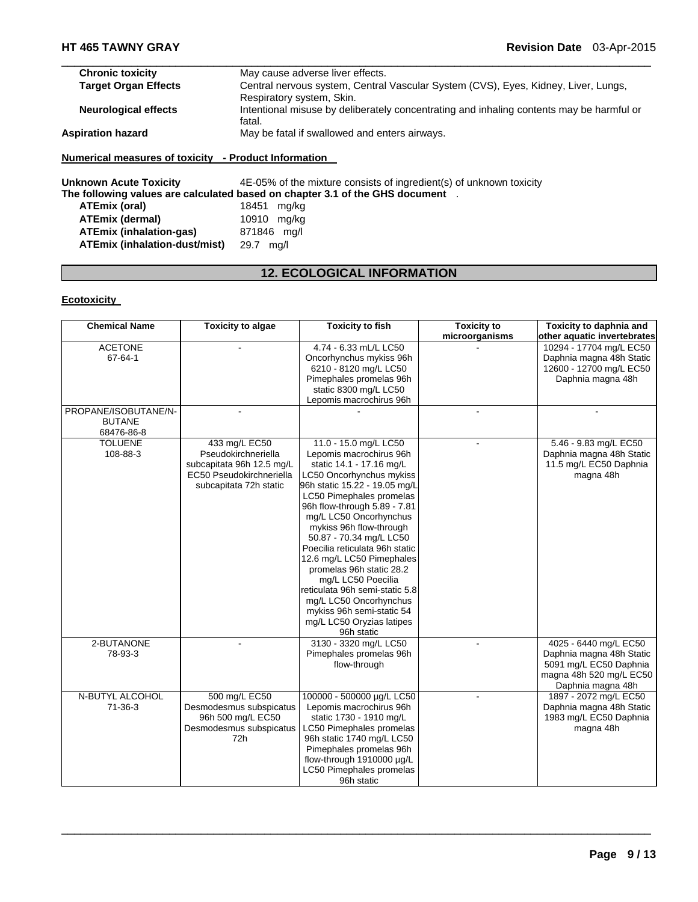| <b>Chronic toxicity</b>     | May cause adverse liver effects.                                                                                |
|-----------------------------|-----------------------------------------------------------------------------------------------------------------|
| <b>Target Organ Effects</b> | Central nervous system, Central Vascular System (CVS), Eyes, Kidney, Liver, Lungs,<br>Respiratory system, Skin. |
| <b>Neurological effects</b> | Intentional misuse by deliberately concentrating and inhaling contents may be harmful or<br>fatal.              |
| <b>Aspiration hazard</b>    | May be fatal if swallowed and enters airways.                                                                   |

**Unknown Acute Toxicity** 4E-05% of the mixture consists of ingredient(s) of unknown toxicity The following values are calculated based on chapter 3.1 of the GHS document .<br>ATEmix (oral) 18451 mg/kg **ATEmix (oral)** 18451 mg/kg **ATEmix (dermal)** 10910 mg/kg **ATEmix (inhalation-gas)** 871846 mg/l **ATEmix (inhalation-dust/mist)** 29.7 mg/l

# **12. ECOLOGICAL INFORMATION**

#### **Ecotoxicity**

| <b>Chemical Name</b> | <b>Toxicity to algae</b>  | <b>Toxicity to fish</b>        | <b>Toxicity to</b> | Toxicity to daphnia and     |
|----------------------|---------------------------|--------------------------------|--------------------|-----------------------------|
|                      |                           |                                | microorganisms     | other aquatic invertebrates |
| <b>ACETONE</b>       |                           | 4.74 - 6.33 mL/L LC50          |                    | 10294 - 17704 mg/L EC50     |
| 67-64-1              |                           | Oncorhynchus mykiss 96h        |                    | Daphnia magna 48h Static    |
|                      |                           | 6210 - 8120 mg/L LC50          |                    | 12600 - 12700 mg/L EC50     |
|                      |                           | Pimephales promelas 96h        |                    | Daphnia magna 48h           |
|                      |                           | static 8300 mg/L LC50          |                    |                             |
|                      |                           | Lepomis macrochirus 96h        |                    |                             |
| PROPANE/ISOBUTANE/N- |                           |                                |                    |                             |
| <b>BUTANE</b>        |                           |                                |                    |                             |
| 68476-86-8           |                           |                                |                    |                             |
| <b>TOLUENE</b>       | 433 mg/L EC50             | 11.0 - 15.0 mg/L LC50          |                    | 5.46 - 9.83 mg/L EC50       |
| 108-88-3             | Pseudokirchneriella       | Lepomis macrochirus 96h        |                    | Daphnia magna 48h Static    |
|                      | subcapitata 96h 12.5 mg/L | static 14.1 - 17.16 mg/L       |                    | 11.5 mg/L EC50 Daphnia      |
|                      | EC50 Pseudokirchneriella  | LC50 Oncorhynchus mykiss       |                    | magna 48h                   |
|                      | subcapitata 72h static    | 96h static 15.22 - 19.05 mg/L  |                    |                             |
|                      |                           | LC50 Pimephales promelas       |                    |                             |
|                      |                           | 96h flow-through 5.89 - 7.81   |                    |                             |
|                      |                           | mg/L LC50 Oncorhynchus         |                    |                             |
|                      |                           | mykiss 96h flow-through        |                    |                             |
|                      |                           | 50.87 - 70.34 mg/L LC50        |                    |                             |
|                      |                           | Poecilia reticulata 96h static |                    |                             |
|                      |                           | 12.6 mg/L LC50 Pimephales      |                    |                             |
|                      |                           | promelas 96h static 28.2       |                    |                             |
|                      |                           | mg/L LC50 Poecilia             |                    |                             |
|                      |                           | reticulata 96h semi-static 5.8 |                    |                             |
|                      |                           | mg/L LC50 Oncorhynchus         |                    |                             |
|                      |                           | mykiss 96h semi-static 54      |                    |                             |
|                      |                           | mg/L LC50 Oryzias latipes      |                    |                             |
|                      |                           | 96h static                     |                    |                             |
| 2-BUTANONE           |                           | 3130 - 3320 mg/L LC50          |                    | 4025 - 6440 mg/L EC50       |
| 78-93-3              |                           | Pimephales promelas 96h        |                    | Daphnia magna 48h Static    |
|                      |                           | flow-through                   |                    | 5091 mg/L EC50 Daphnia      |
|                      |                           |                                |                    | magna 48h 520 mg/L EC50     |
|                      |                           |                                |                    | Daphnia magna 48h           |
| N-BUTYL ALCOHOL      | 500 mg/L EC50             | 100000 - 500000 µg/L LC50      |                    | 1897 - 2072 mg/L EC50       |
| 71-36-3              | Desmodesmus subspicatus   | Lepomis macrochirus 96h        |                    | Daphnia magna 48h Static    |
|                      | 96h 500 mg/L EC50         | static 1730 - 1910 mg/L        |                    | 1983 mg/L EC50 Daphnia      |
|                      | Desmodesmus subspicatus   | LC50 Pimephales promelas       |                    | magna 48h                   |
|                      | 72h                       | 96h static 1740 mg/L LC50      |                    |                             |
|                      |                           | Pimephales promelas 96h        |                    |                             |
|                      |                           | flow-through 1910000 µg/L      |                    |                             |
|                      |                           | LC50 Pimephales promelas       |                    |                             |
|                      |                           | 96h static                     |                    |                             |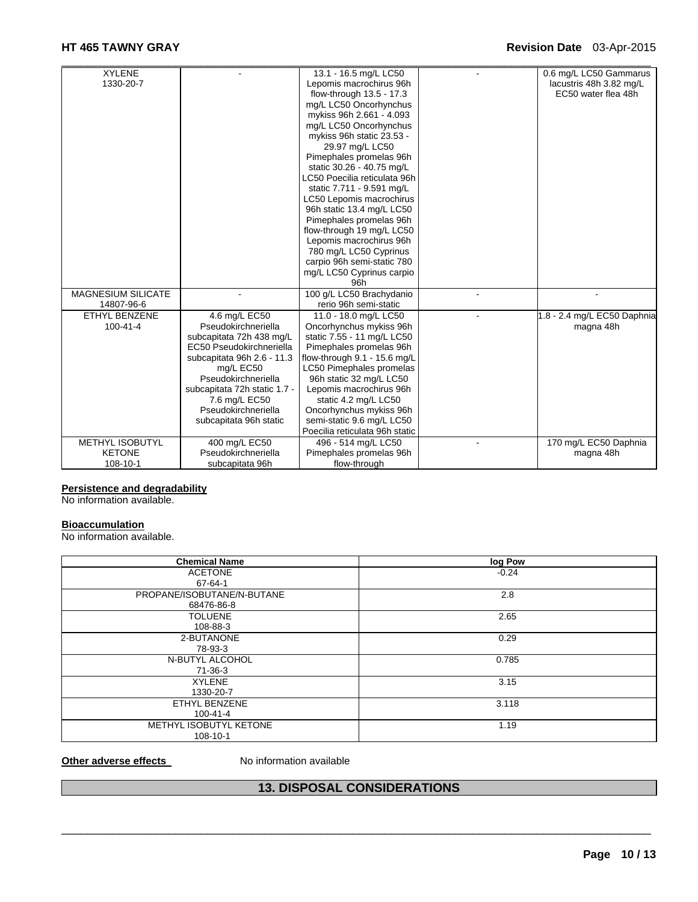# **HT 465 TAWNY GRAY Revision Date** 03-Apr-2015

| <b>XYLENE</b>             |                              | 13.1 - 16.5 mg/L LC50          | 0.6 mg/L LC50 Gammarus      |
|---------------------------|------------------------------|--------------------------------|-----------------------------|
| 1330-20-7                 |                              | Lepomis macrochirus 96h        | lacustris 48h 3.82 mg/L     |
|                           |                              | flow-through 13.5 - 17.3       | EC50 water flea 48h         |
|                           |                              | mg/L LC50 Oncorhynchus         |                             |
|                           |                              | mykiss 96h 2.661 - 4.093       |                             |
|                           |                              | mg/L LC50 Oncorhynchus         |                             |
|                           |                              | mykiss 96h static 23.53 -      |                             |
|                           |                              | 29.97 mg/L LC50                |                             |
|                           |                              | Pimephales promelas 96h        |                             |
|                           |                              | static 30.26 - 40.75 mg/L      |                             |
|                           |                              | LC50 Poecilia reticulata 96h   |                             |
|                           |                              | static 7.711 - 9.591 mg/L      |                             |
|                           |                              | LC50 Lepomis macrochirus       |                             |
|                           |                              | 96h static 13.4 mg/L LC50      |                             |
|                           |                              | Pimephales promelas 96h        |                             |
|                           |                              | flow-through 19 mg/L LC50      |                             |
|                           |                              | Lepomis macrochirus 96h        |                             |
|                           |                              | 780 mg/L LC50 Cyprinus         |                             |
|                           |                              | carpio 96h semi-static 780     |                             |
|                           |                              | mg/L LC50 Cyprinus carpio      |                             |
|                           |                              | 96h                            |                             |
| <b>MAGNESIUM SILICATE</b> |                              | 100 g/L LC50 Brachydanio       |                             |
| 14807-96-6                |                              | rerio 96h semi-static          |                             |
| <b>ETHYL BENZENE</b>      | 4.6 mg/L EC50                | 11.0 - 18.0 mg/L LC50          | 1.8 - 2.4 mg/L EC50 Daphnia |
| $100 - 41 - 4$            | Pseudokirchneriella          | Oncorhynchus mykiss 96h        | magna 48h                   |
|                           | subcapitata 72h 438 mg/L     | static 7.55 - 11 mg/L LC50     |                             |
|                           | EC50 Pseudokirchneriella     | Pimephales promelas 96h        |                             |
|                           | subcapitata 96h 2.6 - 11.3   | flow-through 9.1 - 15.6 mg/L   |                             |
|                           | mg/L EC50                    | LC50 Pimephales promelas       |                             |
|                           | Pseudokirchneriella          | 96h static 32 mg/L LC50        |                             |
|                           | subcapitata 72h static 1.7 - | Lepomis macrochirus 96h        |                             |
|                           | 7.6 mg/L EC50                | static 4.2 mg/L LC50           |                             |
|                           | Pseudokirchneriella          | Oncorhynchus mykiss 96h        |                             |
|                           | subcapitata 96h static       | semi-static 9.6 mg/L LC50      |                             |
|                           |                              | Poecilia reticulata 96h static |                             |
| <b>METHYL ISOBUTYL</b>    | 400 mg/L EC50                | 496 - 514 mg/L LC50            | 170 mg/L EC50 Daphnia       |
| <b>KETONE</b>             | Pseudokirchneriella          | Pimephales promelas 96h        | magna 48h                   |
| 108-10-1                  | subcapitata 96h              | flow-through                   |                             |

# **Persistence and degradability**

No information available.

#### **Bioaccumulation**

No information available.

| <b>Chemical Name</b>       | log Pow |
|----------------------------|---------|
| <b>ACETONE</b>             | $-0.24$ |
| 67-64-1                    |         |
| PROPANE/ISOBUTANE/N-BUTANE | 2.8     |
| 68476-86-8                 |         |
| <b>TOLUENE</b>             | 2.65    |
| 108-88-3                   |         |
| 2-BUTANONE                 | 0.29    |
| 78-93-3                    |         |
| N-BUTYL ALCOHOL            | 0.785   |
| 71-36-3                    |         |
| <b>XYLENE</b>              | 3.15    |
| 1330-20-7                  |         |
| ETHYL BENZENE              | 3.118   |
| 100-41-4                   |         |
| METHYL ISOBUTYL KETONE     | 1.19    |
| 108-10-1                   |         |

#### **Other adverse effects** No information available

# **13. DISPOSAL CONSIDERATIONS**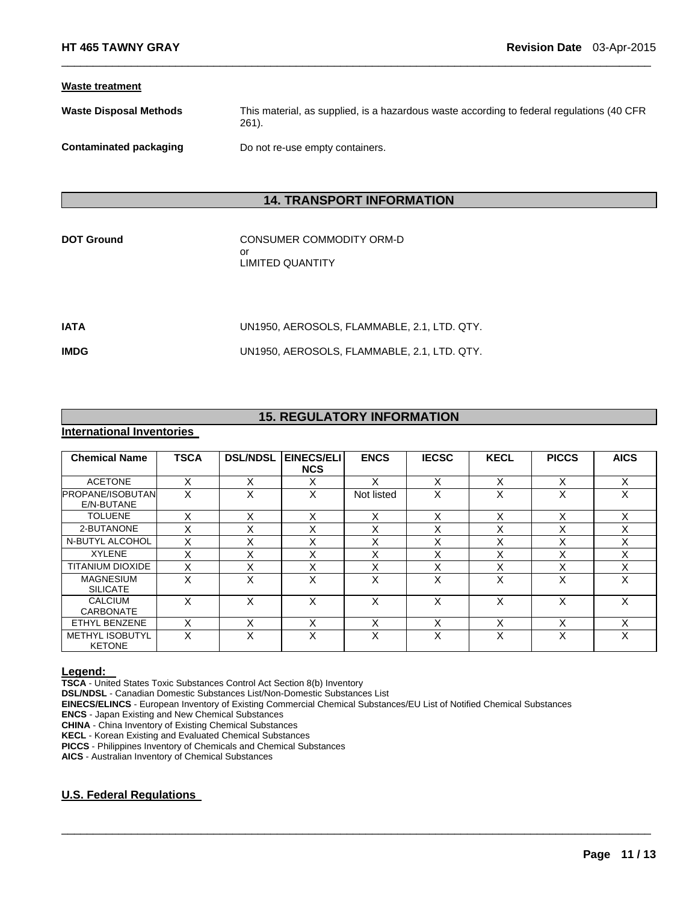#### **Waste treatment**

| <b>Waste Disposal Methods</b> | This material, as supplied, is a hazardous waste according to federal regulations (40 CFR |
|-------------------------------|-------------------------------------------------------------------------------------------|
|                               | 261).                                                                                     |

 $\Box$ 

**Contaminated packaging Theory Containers.** Do not re-use empty containers.

# **14. TRANSPORT INFORMATION**

**DOT Ground CONSUMER COMMODITY ORM-D** or LIMITED QUANTITY

| <b>IATA</b> | UN1950, AEROSOLS, FLAMMABLE, 2.1, LTD, QTY, |
|-------------|---------------------------------------------|
| <b>IMDG</b> | UN1950, AEROSOLS, FLAMMABLE, 2.1, LTD, QTY, |

# **15. REGULATORY INFORMATION**

# **International Inventories**

| <b>Chemical Name</b>                    | <b>TSCA</b> | <b>DSL/NDSL</b> | EINECS/ELI<br><b>NCS</b> | <b>ENCS</b> | <b>IECSC</b>      | <b>KECL</b>       | <b>PICCS</b> | <b>AICS</b> |
|-----------------------------------------|-------------|-----------------|--------------------------|-------------|-------------------|-------------------|--------------|-------------|
| <b>ACETONE</b>                          | X           | X               | X                        | X           | X                 | X                 | X            | X           |
| <b>PROPANE/ISOBUTAN</b><br>E/N-BUTANE   | X           | X               | X                        | Not listed  | X                 | x                 | x            | X           |
| <b>TOLUENE</b>                          | x           | х               | X                        | X           | X                 | X                 | х            | X           |
| 2-BUTANONE                              | x           | X               | Χ                        | Χ           | X                 | X                 |              | X           |
| N-BUTYL ALCOHOL                         | X           | X               | $\checkmark$<br>́        | X           | X                 | $\checkmark$<br>⌒ | Χ            | X           |
| <b>XYLENE</b>                           | x           | ν<br>ᄉ          | $\checkmark$<br>⋏        | v           | $\checkmark$<br>ᄉ | $\checkmark$<br>⌒ |              | X           |
| <b>TITANIUM DIOXIDE</b>                 | X           | X               | X                        | X           | X                 | X                 | X            | X           |
| <b>MAGNESIUM</b><br><b>SILICATE</b>     | X           | X               | X                        | X           | X                 | X                 | X            | X           |
| CALCIUM<br>CARBONATE                    | X           | X               | X                        | X           | X                 | X                 | X            | X           |
| ETHYL BENZENE                           | X           | X               | X                        | X           | X                 | v<br>⌒            | Χ            | X           |
| <b>METHYL ISOBUTYL</b><br><b>KETONE</b> | X           | X               | x                        | x           | X                 | x                 | х            | X           |

 $\Box$ 

**Legend: TSCA** - United States Toxic Substances Control Act Section 8(b) Inventory

**DSL/NDSL** - Canadian Domestic Substances List/Non-Domestic Substances List

**EINECS/ELINCS** - European Inventory of Existing Commercial Chemical Substances/EU List of Notified Chemical Substances

**ENCS** - Japan Existing and New Chemical Substances

**CHINA** - China Inventory of Existing Chemical Substances

**KECL** - Korean Existing and Evaluated Chemical Substances

**PICCS** - Philippines Inventory of Chemicals and Chemical Substances

**AICS** - Australian Inventory of Chemical Substances

### **U.S. Federal Regulations**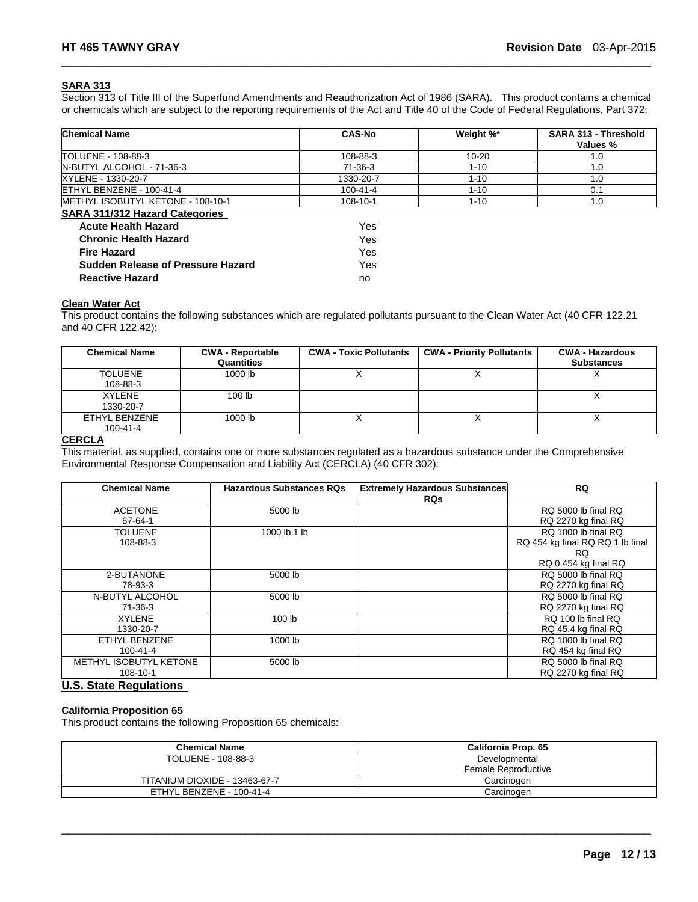#### **SARA 313**

Section 313 of Title III of the Superfund Amendments and Reauthorization Act of 1986 (SARA). This product contains a chemical or chemicals which are subject to the reporting requirements of the Act and Title 40 of the Code of Federal Regulations, Part 372:

 $\Box$ 

| <b>Chemical Name</b>                     | <b>CAS-No</b>  | Weight %* | SARA 313 - Threshold<br>Values % |
|------------------------------------------|----------------|-----------|----------------------------------|
| TOLUENE - 108-88-3                       | 108-88-3       | 10-20     | 1.0                              |
| N-BUTYL ALCOHOL - 71-36-3                | 71-36-3        | $1 - 10$  | 1.0                              |
| XYLENE - 1330-20-7                       | 1330-20-7      | $1 - 10$  | 1.0                              |
| ETHYL BENZENE - 100-41-4                 | $100 - 41 - 4$ | $1 - 10$  | 0.1                              |
| METHYL ISOBUTYL KETONE - 108-10-1        | 108-10-1       | $1 - 10$  | 1.0                              |
| <b>SARA 311/312 Hazard Categories</b>    |                |           |                                  |
| <b>Acute Health Hazard</b>               | Yes            |           |                                  |
| <b>Chronic Health Hazard</b>             | Yes            |           |                                  |
| <b>Fire Hazard</b>                       | Yes            |           |                                  |
| <b>Sudden Release of Pressure Hazard</b> | Yes            |           |                                  |
| <b>Reactive Hazard</b>                   | no             |           |                                  |

#### **Clean Water Act**

This product contains the following substances which are regulated pollutants pursuant to the Clean Water Act (40 CFR 122.21 and 40 CFR 122.42):

| <b>Chemical Name</b>            | <b>CWA - Reportable</b><br><b>Quantities</b> | <b>CWA - Toxic Pollutants</b> | <b>CWA - Priority Pollutants</b> | <b>CWA - Hazardous</b><br><b>Substances</b> |
|---------------------------------|----------------------------------------------|-------------------------------|----------------------------------|---------------------------------------------|
| <b>TOLUENE</b><br>108-88-3      | 1000 lb                                      |                               |                                  |                                             |
| <b>XYLENE</b><br>1330-20-7      | 100 <sub>1b</sub>                            |                               |                                  |                                             |
| ETHYL BENZENE<br>$100 - 41 - 4$ | 1000 lb                                      |                               |                                  |                                             |

#### **CERCLA**

This material, as supplied, contains one or more substances regulated as a hazardous substance under the Comprehensive Environmental Response Compensation and Liability Act (CERCLA) (40 CFR 302):

| <b>Chemical Name</b>               | <b>Hazardous Substances RQs</b> | <b>Extremely Hazardous Substances</b><br><b>RQs</b> | <b>RQ</b>                                                                              |
|------------------------------------|---------------------------------|-----------------------------------------------------|----------------------------------------------------------------------------------------|
| <b>ACETONE</b><br>$67 - 64 - 1$    | 5000 lb                         |                                                     | RQ 5000 lb final RQ<br>RQ 2270 kg final RQ                                             |
| TOLUENE<br>108-88-3                | 1000 lb 1 lb                    |                                                     | RQ 1000 lb final RQ<br>RQ 454 kg final RQ RQ 1 lb final<br>RQ.<br>RQ 0.454 kg final RQ |
| 2-BUTANONE<br>78-93-3              | 5000 lb                         |                                                     | RQ 5000 lb final RQ<br>RQ 2270 kg final RQ                                             |
| N-BUTYL ALCOHOL<br>71-36-3         | 5000 lb                         |                                                     | RQ 5000 lb final RQ<br>RQ 2270 kg final RQ                                             |
| <b>XYLENE</b><br>1330-20-7         | 100 lb                          |                                                     | RQ 100 lb final RQ<br>RQ 45.4 kg final RQ                                              |
| ETHYL BENZENE<br>$100 - 41 - 4$    | 1000 lb                         |                                                     | RQ 1000 lb final RQ<br>RQ 454 kg final RQ                                              |
| METHYL ISOBUTYL KETONE<br>108-10-1 | 5000 lb                         |                                                     | RQ 5000 lb final RQ<br>RQ 2270 kg final RQ                                             |

### **U.S. State Regulations**

#### **California Proposition 65**

This product contains the following Proposition 65 chemicals:

| <b>Chemical Name</b>          | California Prop. 65 |  |  |
|-------------------------------|---------------------|--|--|
| TOLUENE - 108-88-3            | Developmental       |  |  |
|                               | Female Reproductive |  |  |
| TITANIUM DIOXIDE - 13463-67-7 | Carcinogen          |  |  |
| ETHYL BENZENE - 100-41-4      | Carcinogen          |  |  |